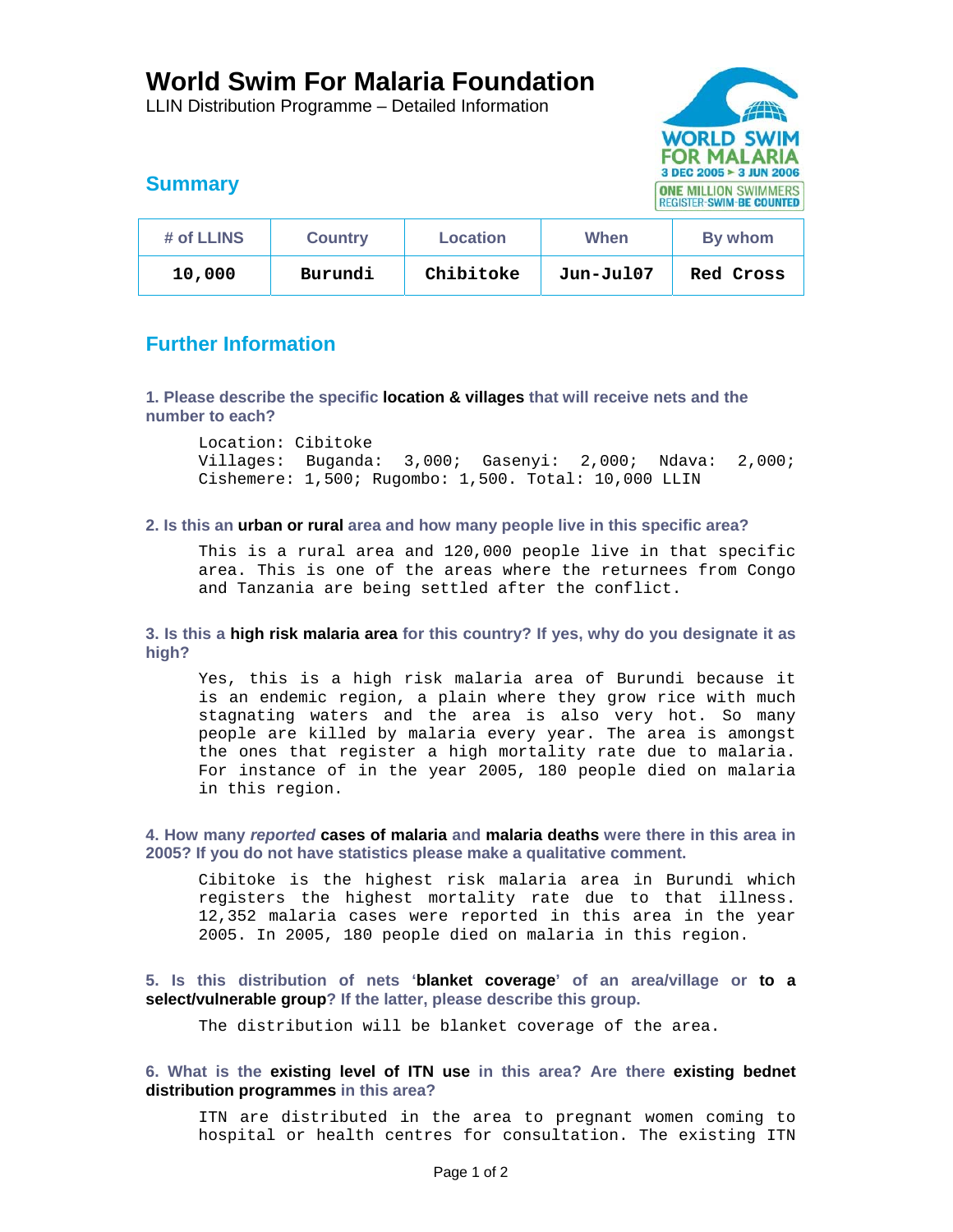# **World Swim For Malaria Foundation**

LLIN Distribution Programme – Detailed Information



# **Summary**

| # of LLINS | <b>Country</b> | Location  | When      | By whom          |
|------------|----------------|-----------|-----------|------------------|
| 10,000     | Burundi        | Chibitoke | Jun-Jul07 | <b>Red Cross</b> |

# **Further Information**

**1. Please describe the specific location & villages that will receive nets and the number to each?** 

Location: Cibitoke<br>Villages: Buganda: 3,000; Gasenyi: 2,000; Ndava: 2,000; Cishemere: 1,500; Rugombo: 1,500. Total: 10,000 LLIN

## **2. Is this an urban or rural area and how many people live in this specific area?**

This is a rural area and 120,000 people live in that specific area. This is one of the areas where the returnees from Congo and Tanzania are being settled after the conflict.

**3. Is this a high risk malaria area for this country? If yes, why do you designate it as high?** 

Yes, this is a high risk malaria area of Burundi because it is an endemic region, a plain where they grow rice with much stagnating waters and the area is also very hot. So many people are killed by malaria every year. The area is amongst the ones that register a high mortality rate due to malaria. For instance of in the year 2005, 180 people died on malaria in this region.

**4. How many** *reported* **cases of malaria and malaria deaths were there in this area in 2005? If you do not have statistics please make a qualitative comment.** 

Cibitoke is the highest risk malaria area in Burundi which registers the highest mortality rate due to that illness. 12,352 malaria cases were reported in this area in the year 2005. In 2005, 180 people died on malaria in this region.

**5. Is this distribution of nets 'blanket coverage' of an area/village or to a select/vulnerable group? If the latter, please describe this group.** 

The distribution will be blanket coverage of the area.

## **6. What is the existing level of ITN use in this area? Are there existing bednet distribution programmes in this area?**

ITN are distributed in the area to pregnant women coming to hospital or health centres for consultation. The existing ITN